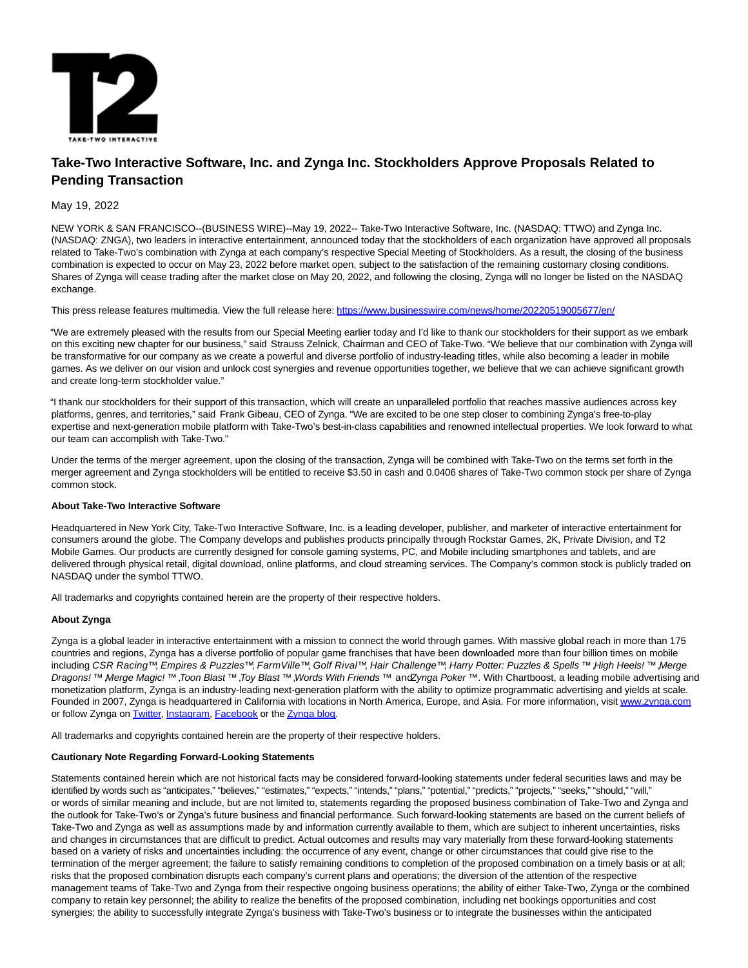

# **Take-Two Interactive Software, Inc. and Zynga Inc. Stockholders Approve Proposals Related to Pending Transaction**

## May 19, 2022

NEW YORK & SAN FRANCISCO--(BUSINESS WIRE)--May 19, 2022-- Take-Two Interactive Software, Inc. (NASDAQ: TTWO) and Zynga Inc. (NASDAQ: ZNGA), two leaders in interactive entertainment, announced today that the stockholders of each organization have approved all proposals related to Take-Two's combination with Zynga at each company's respective Special Meeting of Stockholders. As a result, the closing of the business combination is expected to occur on May 23, 2022 before market open, subject to the satisfaction of the remaining customary closing conditions. Shares of Zynga will cease trading after the market close on May 20, 2022, and following the closing, Zynga will no longer be listed on the NASDAQ exchange.

This press release features multimedia. View the full release here:<https://www.businesswire.com/news/home/20220519005677/en/>

"We are extremely pleased with the results from our Special Meeting earlier today and I'd like to thank our stockholders for their support as we embark on this exciting new chapter for our business," said Strauss Zelnick, Chairman and CEO of Take-Two. "We believe that our combination with Zynga will be transformative for our company as we create a powerful and diverse portfolio of industry-leading titles, while also becoming a leader in mobile games. As we deliver on our vision and unlock cost synergies and revenue opportunities together, we believe that we can achieve significant growth and create long-term stockholder value."

"I thank our stockholders for their support of this transaction, which will create an unparalleled portfolio that reaches massive audiences across key platforms, genres, and territories," said Frank Gibeau, CEO of Zynga. "We are excited to be one step closer to combining Zynga's free-to-play expertise and next-generation mobile platform with Take-Two's best-in-class capabilities and renowned intellectual properties. We look forward to what our team can accomplish with Take-Two."

Under the terms of the merger agreement, upon the closing of the transaction, Zynga will be combined with Take-Two on the terms set forth in the merger agreement and Zynga stockholders will be entitled to receive \$3.50 in cash and 0.0406 shares of Take-Two common stock per share of Zynga common stock.

### **About Take-Two Interactive Software**

Headquartered in New York City, Take-Two Interactive Software, Inc. is a leading developer, publisher, and marketer of interactive entertainment for consumers around the globe. The Company develops and publishes products principally through Rockstar Games, 2K, Private Division, and T2 Mobile Games. Our products are currently designed for console gaming systems, PC, and Mobile including smartphones and tablets, and are delivered through physical retail, digital download, online platforms, and cloud streaming services. The Company's common stock is publicly traded on NASDAQ under the symbol TTWO.

All trademarks and copyrights contained herein are the property of their respective holders.

### **About Zynga**

Zynga is a global leader in interactive entertainment with a mission to connect the world through games. With massive global reach in more than 175 countries and regions, Zynga has a diverse portfolio of popular game franchises that have been downloaded more than four billion times on mobile including CSR Racing™, Empires & Puzzles™, FarmVille™, Golf Rival™, Hair Challenge™, Harry Potter: Puzzles & Spells ™, High Heels! ™, Merge Dragons! ™, Merge Magic! ™, Toon Blast ™, Toy Blast ™, Words With Friends ™ and Zynga Poker ™. With Chartboost, a leading mobile advertising and monetization platform, Zynga is an industry-leading next-generation platform with the ability to optimize programmatic advertising and yields at scale. Founded in 2007, Zynga is headquartered in California with locations in North America, Europe, and Asia. For more information, visi[t www.zynga.com](https://cts.businesswire.com/ct/CT?id=smartlink&url=http%3A%2F%2Fwww.zynga.com&esheet=52724658&newsitemid=20220519005677&lan=en-US&anchor=www.zynga.com&index=1&md5=517a0f8de8c8760f8e49c2c1f0f95ee7) or follow Zynga on [Twitter,](https://cts.businesswire.com/ct/CT?id=smartlink&url=http%3A%2F%2Fwww.twitter.com%2Fzynga&esheet=52724658&newsitemid=20220519005677&lan=en-US&anchor=Twitter&index=2&md5=ccb35468e9e3e62845e0397fdfdb0083) [Instagram,](https://cts.businesswire.com/ct/CT?id=smartlink&url=https%3A%2F%2Fwww.instagram.com%2Fzynga%2F&esheet=52724658&newsitemid=20220519005677&lan=en-US&anchor=Instagram&index=3&md5=0ccdf6f87ed822dc626b3c5929494cbf) [Facebook o](https://cts.businesswire.com/ct/CT?id=smartlink&url=https%3A%2F%2Fwww.facebook.com%2FZynga%2F&esheet=52724658&newsitemid=20220519005677&lan=en-US&anchor=Facebook&index=4&md5=d0f63d1f5b7a27ea2923ca4560a856d8)r th[e Zynga blog.](https://cts.businesswire.com/ct/CT?id=smartlink&url=https%3A%2F%2Fwww.zynga.com%2Fblog%2F&esheet=52724658&newsitemid=20220519005677&lan=en-US&anchor=Zynga+blog&index=5&md5=42f70f350877f3a50f54e7be15606f70)

All trademarks and copyrights contained herein are the property of their respective holders.

### **Cautionary Note Regarding Forward-Looking Statements**

Statements contained herein which are not historical facts may be considered forward-looking statements under federal securities laws and may be identified by words such as "anticipates," "believes," "estimates," "expects," "intends," "plans," "potential," "predicts," "projects," "seeks," "should," "will," or words of similar meaning and include, but are not limited to, statements regarding the proposed business combination of Take-Two and Zynga and the outlook for Take-Two's or Zynga's future business and financial performance. Such forward-looking statements are based on the current beliefs of Take-Two and Zynga as well as assumptions made by and information currently available to them, which are subject to inherent uncertainties, risks and changes in circumstances that are difficult to predict. Actual outcomes and results may vary materially from these forward-looking statements based on a variety of risks and uncertainties including: the occurrence of any event, change or other circumstances that could give rise to the termination of the merger agreement; the failure to satisfy remaining conditions to completion of the proposed combination on a timely basis or at all; risks that the proposed combination disrupts each company's current plans and operations; the diversion of the attention of the respective management teams of Take-Two and Zynga from their respective ongoing business operations; the ability of either Take-Two, Zynga or the combined company to retain key personnel; the ability to realize the benefits of the proposed combination, including net bookings opportunities and cost synergies; the ability to successfully integrate Zynga's business with Take-Two's business or to integrate the businesses within the anticipated